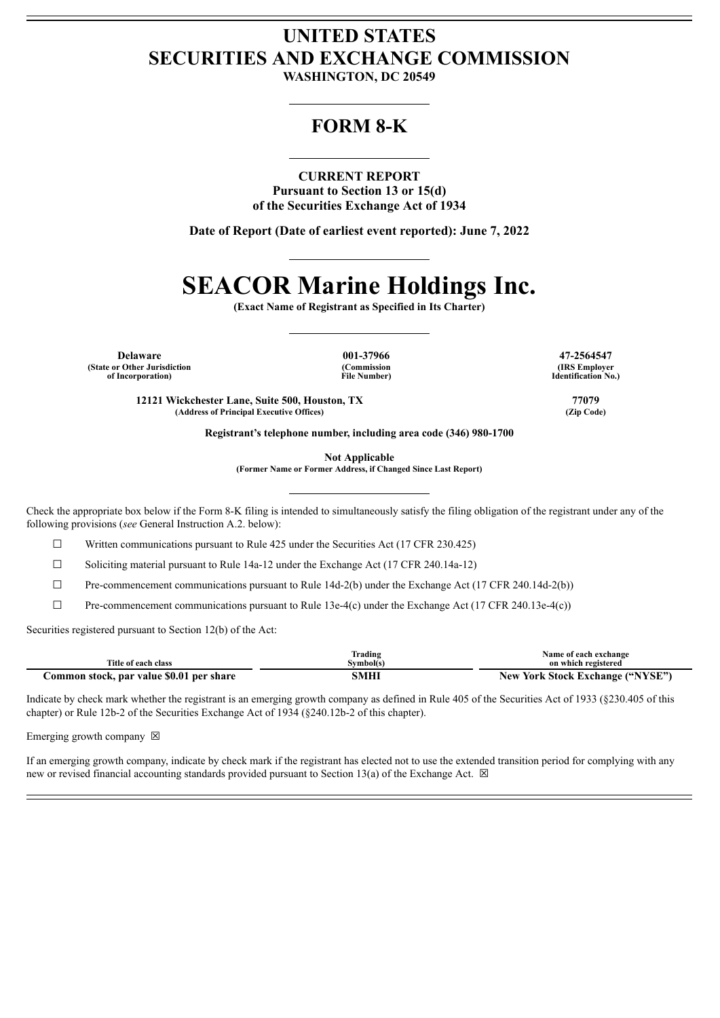## **UNITED STATES SECURITIES AND EXCHANGE COMMISSION**

**WASHINGTON, DC 20549**

### **FORM 8-K**

#### **CURRENT REPORT**

**Pursuant to Section 13 or 15(d) of the Securities Exchange Act of 1934**

**Date of Report (Date of earliest event reported): June 7, 2022**

# **SEACOR Marine Holdings Inc.**

**(Exact Name of Registrant as Specified in Its Charter)**

**Delaware 001-37966 47-2564547 (State or Other Jurisdiction of Incorporation)**

**(Commission File Number)**

**(IRS Employer Identification No.)**

**12121 Wickchester Lane, Suite 500, Houston, TX 77079 (Address of Principal Executive Offices) (Zip Code)**

**Registrant's telephone number, including area code (346) 980-1700**

**Not Applicable**

**(Former Name or Former Address, if Changed Since Last Report)**

Check the appropriate box below if the Form 8-K filing is intended to simultaneously satisfy the filing obligation of the registrant under any of the following provisions (*see* General Instruction A.2. below):

 $\Box$  Written communications pursuant to Rule 425 under the Securities Act (17 CFR 230.425)

☐ Soliciting material pursuant to Rule 14a-12 under the Exchange Act (17 CFR 240.14a-12)

 $\Box$  Pre-commencement communications pursuant to Rule 14d-2(b) under the Exchange Act (17 CFR 240.14d-2(b))

☐ Pre-commencement communications pursuant to Rule 13e-4(c) under the Exchange Act (17 CFR 240.13e-4(c))

Securities registered pursuant to Section 12(b) of the Act:

|                                          | Trading   | Name of each exchange                 |
|------------------------------------------|-----------|---------------------------------------|
| Title of each class                      | Svmbol(s) | on which registered                   |
| Common stock, par value \$0.01 per share |           | / York Stock Exchange ("NYSE")<br>New |

Indicate by check mark whether the registrant is an emerging growth company as defined in Rule 405 of the Securities Act of 1933 (§230.405 of this chapter) or Rule 12b-2 of the Securities Exchange Act of 1934 (§240.12b-2 of this chapter).

Emerging growth company  $\boxtimes$ 

If an emerging growth company, indicate by check mark if the registrant has elected not to use the extended transition period for complying with any new or revised financial accounting standards provided pursuant to Section 13(a) of the Exchange Act.  $\boxtimes$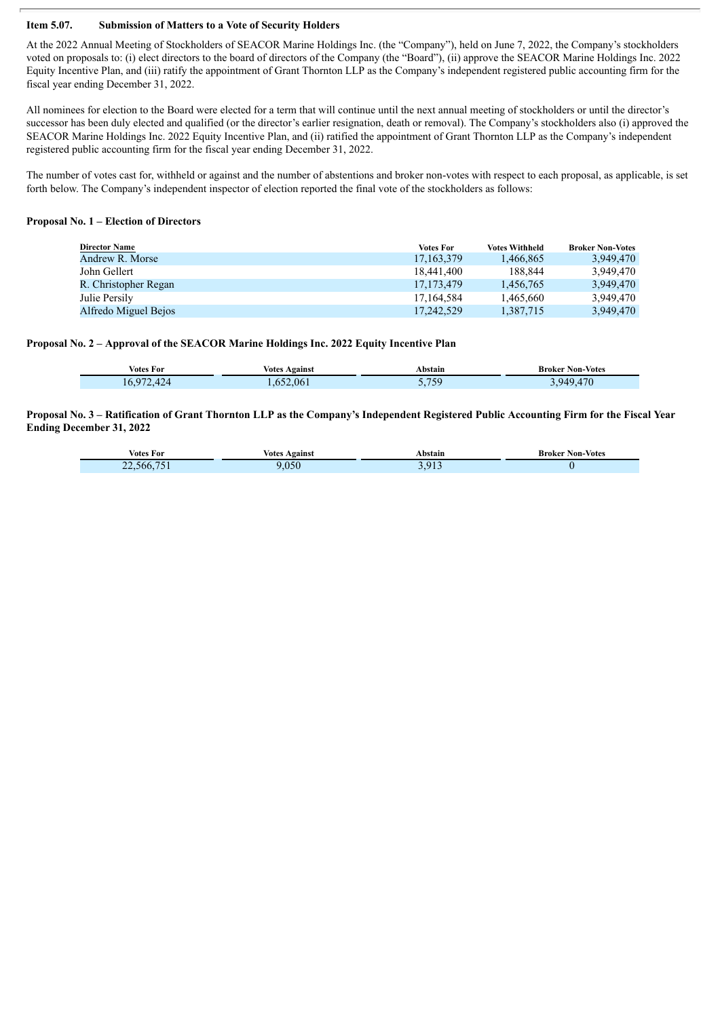#### **Item 5.07. Submission of Matters to a Vote of Security Holders**

At the 2022 Annual Meeting of Stockholders of SEACOR Marine Holdings Inc. (the "Company"), held on June 7, 2022, the Company's stockholders voted on proposals to: (i) elect directors to the board of directors of the Company (the "Board"), (ii) approve the SEACOR Marine Holdings Inc. 2022 Equity Incentive Plan, and (iii) ratify the appointment of Grant Thornton LLP as the Company's independent registered public accounting firm for the fiscal year ending December 31, 2022.

All nominees for election to the Board were elected for a term that will continue until the next annual meeting of stockholders or until the director's successor has been duly elected and qualified (or the director's earlier resignation, death or removal). The Company's stockholders also (i) approved the SEACOR Marine Holdings Inc. 2022 Equity Incentive Plan, and (ii) ratified the appointment of Grant Thornton LLP as the Company's independent registered public accounting firm for the fiscal year ending December 31, 2022.

The number of votes cast for, withheld or against and the number of abstentions and broker non-votes with respect to each proposal, as applicable, is set forth below. The Company's independent inspector of election reported the final vote of the stockholders as follows:

#### **Proposal No. 1 – Election of Directors**

| <b>Director Name</b> | <b>Votes For</b> | <b>Votes Withheld</b> | <b>Broker Non-Votes</b> |
|----------------------|------------------|-----------------------|-------------------------|
| Andrew R. Morse      | 17, 163, 379     | 1.466.865             | 3.949.470               |
| John Gellert         | 18.441.400       | 188.844               | 3.949.470               |
| R. Christopher Regan | 17.173.479       | 1.456.765             | 3.949.470               |
| Julie Persily        | 17.164.584       | 1.465.660             | 3.949.470               |
| Alfredo Miguel Bejos | 17,242,529       | 1,387,715             | 3.949.470               |

#### **Proposal No. 2 – Approval of the SEACOR Marine Holdings Inc. 2022 Equity Incentive Plan**

| <b>Votes For</b>   | <b>Votes Against</b> | Abstain          | <b>Broker Non-Votes</b> |
|--------------------|----------------------|------------------|-------------------------|
| A2A<br>Q72<br>10.9 | .652.061             | 759<br>ر ر ۱ . ۱ | .949.470                |

#### Proposal No. 3 - Ratification of Grant Thornton LLP as the Company's Independent Registered Public Accounting Firm for the Fiscal Year **Ending December 31, 2022**

| $\mathbf{H}$<br>Votes For | Against<br>Votes<br>. | `bstain<br>. | <b>Non-Votes</b><br>Broker<br>. |
|---------------------------|-----------------------|--------------|---------------------------------|
| nhh<br>--                 |                       | $^{\circ}$   |                                 |